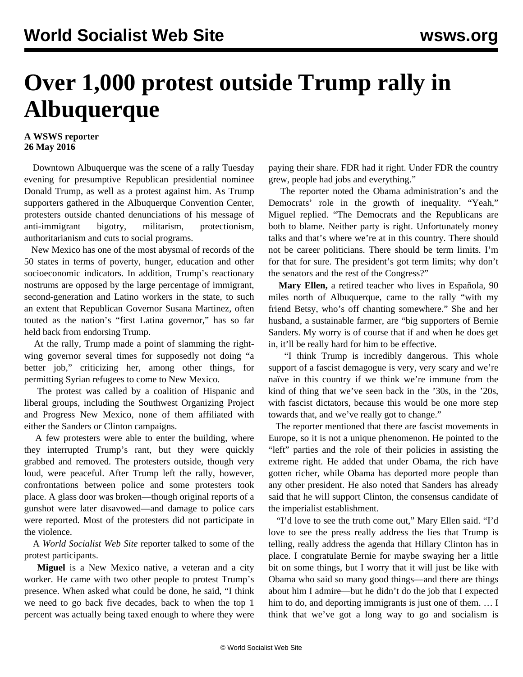## **Over 1,000 protest outside Trump rally in Albuquerque**

## **A WSWS reporter 26 May 2016**

 Downtown Albuquerque was the scene of a rally Tuesday evening for presumptive Republican presidential nominee Donald Trump, as well as a protest against him. As Trump supporters gathered in the Albuquerque Convention Center, protesters outside chanted denunciations of his message of anti-immigrant bigotry, militarism, protectionism, authoritarianism and cuts to social programs.

 New Mexico has one of the most abysmal of records of the 50 states in terms of poverty, hunger, education and other socioeconomic indicators. In addition, Trump's reactionary nostrums are opposed by the large percentage of immigrant, second-generation and Latino workers in the state, to such an extent that Republican Governor Susana Martinez, often touted as the nation's "first Latina governor," has so far held back from endorsing Trump.

 At the rally, Trump made a point of slamming the rightwing governor several times for supposedly not doing "a better job," criticizing her, among other things, for permitting Syrian refugees to come to New Mexico.

 The protest was called by a coalition of Hispanic and liberal groups, including the Southwest Organizing Project and Progress New Mexico, none of them affiliated with either the Sanders or Clinton campaigns.

 A few protesters were able to enter the building, where they interrupted Trump's rant, but they were quickly grabbed and removed. The protesters outside, though very loud, were peaceful. After Trump left the rally, however, confrontations between police and some protesters took place. A glass door was broken—though original reports of a gunshot were later disavowed—and damage to police cars were reported. Most of the protesters did not participate in the violence.

 A *World Socialist Web Site* reporter talked to some of the protest participants.

 **Miguel** is a New Mexico native, a veteran and a city worker. He came with two other people to protest Trump's presence. When asked what could be done, he said, "I think we need to go back five decades, back to when the top 1 percent was actually being taxed enough to where they were

paying their share. FDR had it right. Under FDR the country grew, people had jobs and everything."

 The reporter noted the Obama administration's and the Democrats' role in the growth of inequality. "Yeah," Miguel replied. "The Democrats and the Republicans are both to blame. Neither party is right. Unfortunately money talks and that's where we're at in this country. There should not be career politicians. There should be term limits. I'm for that for sure. The president's got term limits; why don't the senators and the rest of the Congress?"

 **Mary Ellen,** a retired teacher who lives in Española, 90 miles north of Albuquerque, came to the rally "with my friend Betsy, who's off chanting somewhere." She and her husband, a sustainable farmer, are "big supporters of Bernie Sanders. My worry is of course that if and when he does get in, it'll be really hard for him to be effective.

 "I think Trump is incredibly dangerous. This whole support of a fascist demagogue is very, very scary and we're naïve in this country if we think we're immune from the kind of thing that we've seen back in the '30s, in the '20s, with fascist dictators, because this would be one more step towards that, and we've really got to change."

 The reporter mentioned that there are fascist movements in Europe, so it is not a unique phenomenon. He pointed to the "left" parties and the role of their policies in assisting the extreme right. He added that under Obama, the rich have gotten richer, while Obama has deported more people than any other president. He also noted that Sanders has already said that he will support Clinton, the consensus candidate of the imperialist establishment.

 "I'd love to see the truth come out," Mary Ellen said. "I'd love to see the press really address the lies that Trump is telling, really address the agenda that Hillary Clinton has in place. I congratulate Bernie for maybe swaying her a little bit on some things, but I worry that it will just be like with Obama who said so many good things—and there are things about him I admire—but he didn't do the job that I expected him to do, and deporting immigrants is just one of them. ... I think that we've got a long way to go and socialism is